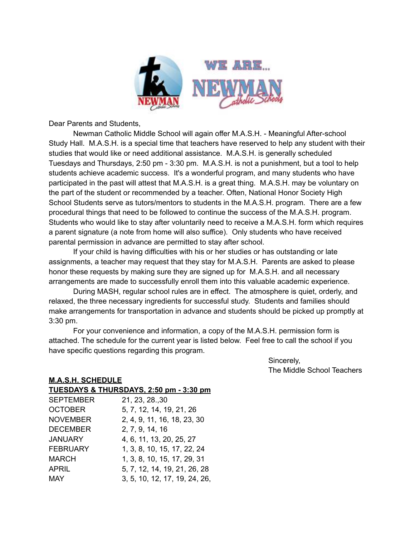

Dear Parents and Students,

Newman Catholic Middle School will again offer M.A.S.H. - Meaningful After-school Study Hall. M.A.S.H. is a special time that teachers have reserved to help any student with their studies that would like or need additional assistance. M.A.S.H. is generally scheduled Tuesdays and Thursdays, 2:50 pm - 3:30 pm. M.A.S.H. is not a punishment, but a tool to help students achieve academic success. It's a wonderful program, and many students who have participated in the past will attest that M.A.S.H. is a great thing. M.A.S.H. may be voluntary on the part of the student or recommended by a teacher. Often, National Honor Society High School Students serve as tutors/mentors to students in the M.A.S.H. program. There are a few procedural things that need to be followed to continue the success of the M.A.S.H. program. Students who would like to stay after voluntarily need to receive a M.A.S.H. form which requires a parent signature (a note from home will also suffice). Only students who have received parental permission in advance are permitted to stay after school.

If your child is having difficulties with his or her studies or has outstanding or late assignments, a teacher may request that they stay for M.A.S.H. Parents are asked to please honor these requests by making sure they are signed up for M.A.S.H. and all necessary arrangements are made to successfully enroll them into this valuable academic experience.

During MASH, regular school rules are in effect. The atmosphere is quiet, orderly, and relaxed, the three necessary ingredients for successful study. Students and families should make arrangements for transportation in advance and students should be picked up promptly at 3:30 pm.

For your convenience and information, a copy of the M.A.S.H. permission form is attached. The schedule for the current year is listed below. Feel free to call the school if you have specific questions regarding this program.

> Sincerely, The Middle School Teachers

## **M.A.S.H. SCHEDULE**

|                  | TUESDAYS & THURSDAYS, 2:50 pm - 3:30 pm |
|------------------|-----------------------------------------|
| <b>SEPTEMBER</b> | 21, 23, 28, 30                          |
| <b>OCTOBER</b>   | 5, 7, 12, 14, 19, 21, 26                |
| <b>NOVEMBER</b>  | 2, 4, 9, 11, 16, 18, 23, 30             |
| <b>DECEMBER</b>  | 2, 7, 9, 14, 16                         |
| <b>JANUARY</b>   | 4, 6, 11, 13, 20, 25, 27                |
| <b>FEBRUARY</b>  | 1, 3, 8, 10, 15, 17, 22, 24             |
| <b>MARCH</b>     | 1, 3, 8, 10, 15, 17, 29, 31             |
| <b>APRIL</b>     | 5, 7, 12, 14, 19, 21, 26, 28            |
| MAY              | 3, 5, 10, 12, 17, 19, 24, 26,           |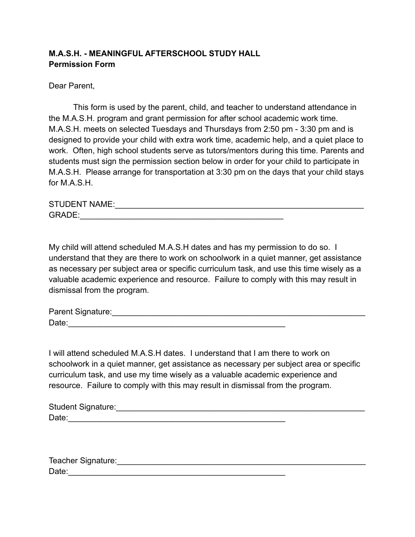## **M.A.S.H. - MEANINGFUL AFTERSCHOOL STUDY HALL Permission Form**

Dear Parent,

This form is used by the parent, child, and teacher to understand attendance in the M.A.S.H. program and grant permission for after school academic work time. M.A.S.H. meets on selected Tuesdays and Thursdays from 2:50 pm - 3:30 pm and is designed to provide your child with extra work time, academic help, and a quiet place to work. Often, high school students serve as tutors/mentors during this time. Parents and students must sign the permission section below in order for your child to participate in M.A.S.H. Please arrange for transportation at 3:30 pm on the days that your child stays for M.A.S.H.

| <b>STUDENT NAME:</b> |  |
|----------------------|--|
| GRADF                |  |

My child will attend scheduled M.A.S.H dates and has my permission to do so. I understand that they are there to work on schoolwork in a quiet manner, get assistance as necessary per subject area or specific curriculum task, and use this time wisely as a valuable academic experience and resource. Failure to comply with this may result in dismissal from the program.

Parent Signature:\_\_\_\_\_\_\_\_\_\_\_\_\_\_\_\_\_\_\_\_\_\_\_\_\_\_\_\_\_\_\_\_\_\_\_\_\_\_\_\_\_\_\_\_\_\_\_\_\_\_\_\_\_\_\_\_ Date:

I will attend scheduled M.A.S.H dates. I understand that I am there to work on schoolwork in a quiet manner, get assistance as necessary per subject area or specific curriculum task, and use my time wisely as a valuable academic experience and resource. Failure to comply with this may result in dismissal from the program.

| Student Signature: |  |
|--------------------|--|
| Date:              |  |

| Teacher Signature: |  |
|--------------------|--|
| Date:              |  |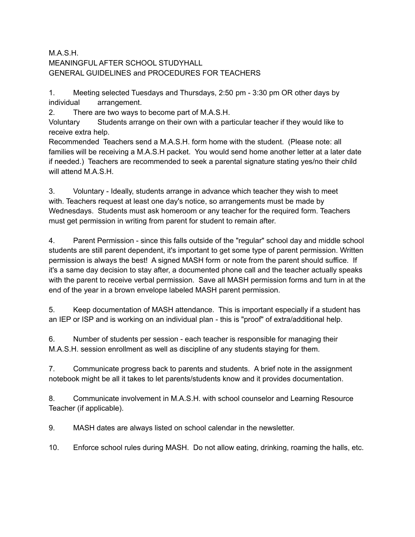## M.A.S.H. MEANINGFUL AFTER SCHOOL STUDYHALL GENERAL GUIDELINES and PROCEDURES FOR TEACHERS

1. Meeting selected Tuesdays and Thursdays, 2:50 pm - 3:30 pm OR other days by individual arrangement.

2. There are two ways to become part of M.A.S.H.

Voluntary Students arrange on their own with a particular teacher if they would like to receive extra help.

Recommended Teachers send a M.A.S.H. form home with the student. (Please note: all families will be receiving a M.A.S.H packet. You would send home another letter at a later date if needed.) Teachers are recommended to seek a parental signature stating yes/no their child will attend M.A.S.H.

3. Voluntary - Ideally, students arrange in advance which teacher they wish to meet with. Teachers request at least one day's notice, so arrangements must be made by Wednesdays. Students must ask homeroom or any teacher for the required form. Teachers must get permission in writing from parent for student to remain after.

4. Parent Permission - since this falls outside of the "regular" school day and middle school students are still parent dependent, it's important to get some type of parent permission. Written permission is always the best! A signed MASH form or note from the parent should suffice. If it's a same day decision to stay after, a documented phone call and the teacher actually speaks with the parent to receive verbal permission. Save all MASH permission forms and turn in at the end of the year in a brown envelope labeled MASH parent permission.

5. Keep documentation of MASH attendance. This is important especially if a student has an IEP or ISP and is working on an individual plan - this is "proof" of extra/additional help.

6. Number of students per session - each teacher is responsible for managing their M.A.S.H. session enrollment as well as discipline of any students staying for them.

7. Communicate progress back to parents and students. A brief note in the assignment notebook might be all it takes to let parents/students know and it provides documentation.

8. Communicate involvement in M.A.S.H. with school counselor and Learning Resource Teacher (if applicable).

9. MASH dates are always listed on school calendar in the newsletter.

10. Enforce school rules during MASH. Do not allow eating, drinking, roaming the halls, etc.